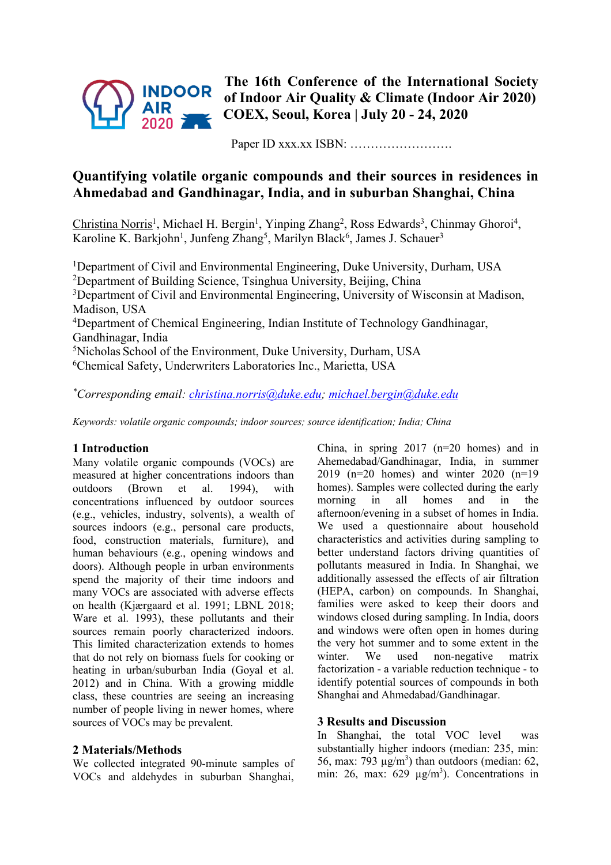

**The 16th Conference of the International Society of Indoor Air Quality & Climate (Indoor Air 2020) COEX, Seoul, Korea | July 20 - 24, 2020**

Paper ID xxx.xx ISBN: …………………….

# **Quantifying volatile organic compounds and their sources in residences in Ahmedabad and Gandhinagar, India, and in suburban Shanghai, China**

Christina Norris<sup>1</sup>, Michael H. Bergin<sup>1</sup>, Yinping Zhang<sup>2</sup>, Ross Edwards<sup>3</sup>, Chinmay Ghoroi<sup>4</sup>, Karoline K. Barkjohn<sup>1</sup>, Junfeng Zhang<sup>5</sup>, Marilyn Black<sup>6</sup>, James J. Schauer<sup>3</sup>

<sup>1</sup>Department of Civil and Environmental Engineering, Duke University, Durham, USA <sup>2</sup>Department of Building Science, Tsinghua University, Beijing, China <sup>3</sup>Department of Civil and Environmental Engineering, University of Wisconsin at Madison, Madison, USA <sup>4</sup>Department of Chemical Engineering, Indian Institute of Technology Gandhinagar, Gandhinagar, India 5 Nicholas School of the Environment, Duke University, Durham, USA 6 Chemical Safety, Underwriters Laboratories Inc., Marietta, USA

*\* Corresponding email: christina.norris@duke.edu; michael.bergin@duke.edu*

*Keywords: volatile organic compounds; indoor sources; source identification; India; China*

### **1 Introduction**

Many volatile organic compounds (VOCs) are measured at higher concentrations indoors than outdoors (Brown et al. 1994), with concentrations influenced by outdoor sources (e.g., vehicles, industry, solvents), a wealth of sources indoors (e.g., personal care products, food, construction materials, furniture), and human behaviours (e.g., opening windows and doors). Although people in urban environments spend the majority of their time indoors and many VOCs are associated with adverse effects on health (Kjærgaard et al. 1991; LBNL 2018; Ware et al. 1993), these pollutants and their sources remain poorly characterized indoors. This limited characterization extends to homes that do not rely on biomass fuels for cooking or heating in urban/suburban India (Goyal et al. 2012) and in China. With a growing middle class, these countries are seeing an increasing number of people living in newer homes, where sources of VOCs may be prevalent.

## **2 Materials/Methods**

We collected integrated 90-minute samples of VOCs and aldehydes in suburban Shanghai, China, in spring 2017 (n=20 homes) and in Ahemedabad/Gandhinagar, India, in summer 2019 (n=20 homes) and winter 2020 (n=19 homes). Samples were collected during the early morning in all homes and in the afternoon/evening in a subset of homes in India. We used a questionnaire about household characteristics and activities during sampling to better understand factors driving quantities of pollutants measured in India. In Shanghai, we additionally assessed the effects of air filtration (HEPA, carbon) on compounds. In Shanghai, families were asked to keep their doors and windows closed during sampling. In India, doors and windows were often open in homes during the very hot summer and to some extent in the winter. We used non-negative matrix factorization - a variable reduction technique - to identify potential sources of compounds in both Shanghai and Ahmedabad/Gandhinagar.

### **3 Results and Discussion**

In Shanghai, the total VOC level was substantially higher indoors (median: 235, min: 56, max: 793  $\mu$ g/m<sup>3</sup>) than outdoors (median: 62, min: 26, max:  $629 \mu g/m^3$ ). Concentrations in